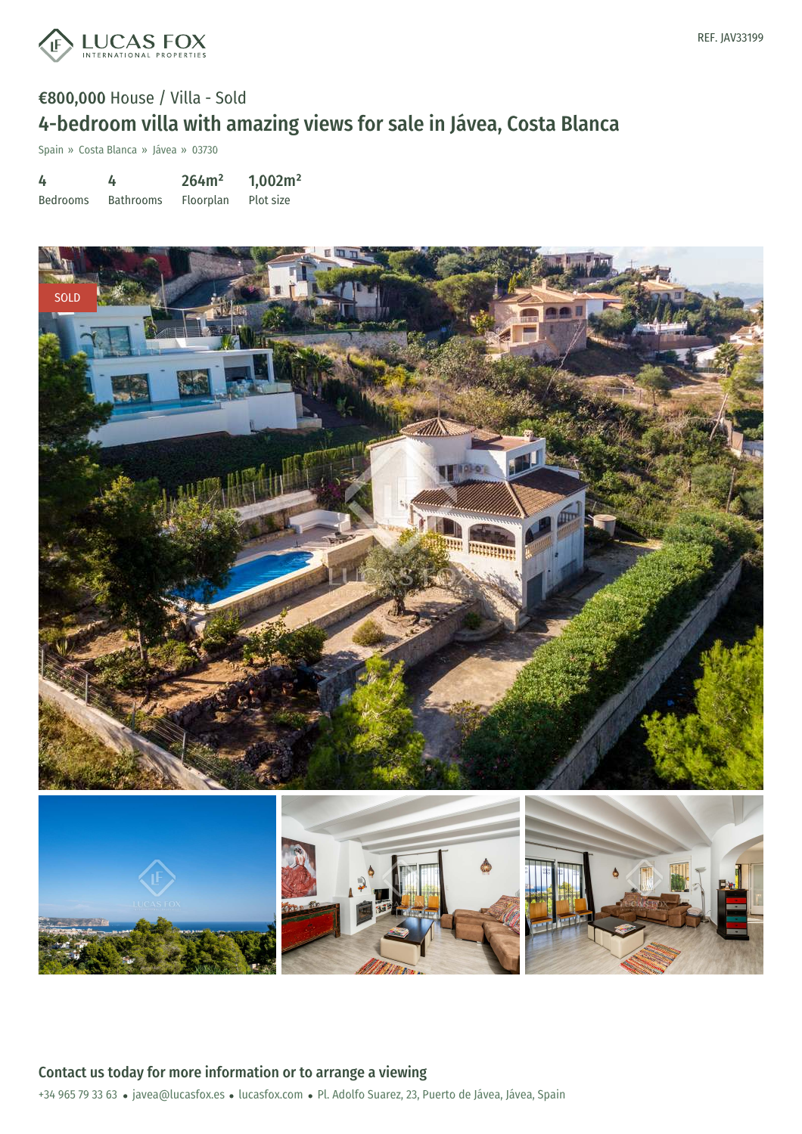

## €800,000 House / Villa - Sold 4-bedroom villa with amazing views for sale in Jávea, Costa Blanca

Spain » Costa Blanca » Jávea » 03730

| 4               |                  | 264m <sup>2</sup> | 1,002m <sup>2</sup> |
|-----------------|------------------|-------------------|---------------------|
| <b>Bedrooms</b> | <b>Bathrooms</b> | Floorplan         | Plot size           |

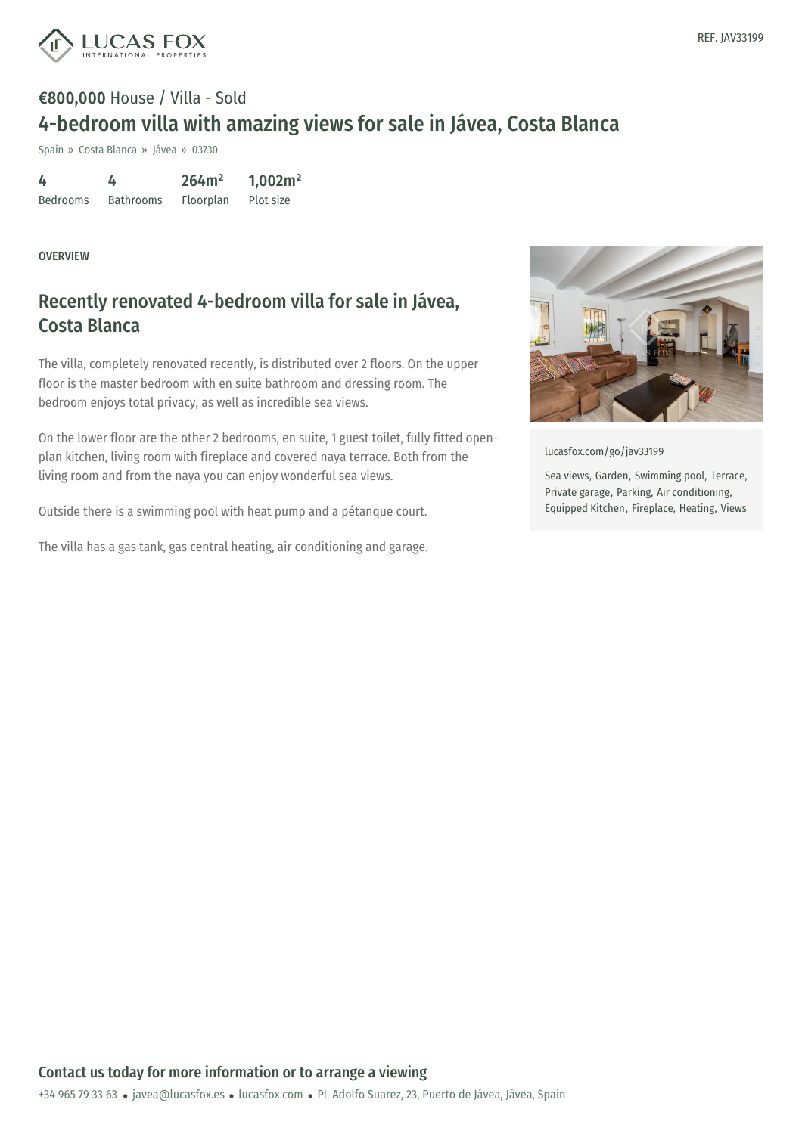

# €800,000 House / Villa - Sold 4-bedroom villa with amazing views for sale in Jávea, Costa Blanca

Spain » Costa Blanca » Jávea » 03730

| 4               | 4                | 264m <sup>2</sup> | 1,002m <sup>2</sup> |
|-----------------|------------------|-------------------|---------------------|
| <b>Bedrooms</b> | <b>Bathrooms</b> | Floorplan         | Plot size           |

#### **OVERVIEW**

### Recently renovated 4-bedroom villa for sale in Jávea, Costa Blanca

The villa, completely renovated recently, is distributed over 2 floors. On the upper floor is the master bedroom with en suite bathroom and dressing room. The bedroom enjoys total privacy, as well as incredible sea views.

On the lower floor are the other 2 bedrooms, en suite, 1 guest toilet, fully fitted openplan kitchen, living room with fireplace and covered naya terrace. Both from the living room and from the naya you can enjoy wonderful sea views.

Outside there is a swimming pool with heat pump and a pétanque court.

The villa has a gas tank, gas central heating, air conditioning and garage.



[lucasfox.com/go/jav33199](https://www.lucasfox.com/go/jav33199)

Sea views, Garden, Swimming pool, Terrace, Private garage, Parking, Air conditioning, Equipped Kitchen, Fireplace, Heating, Views